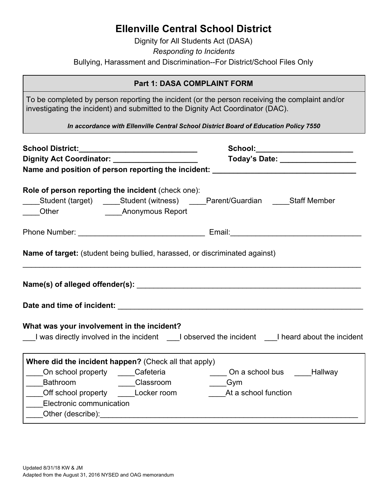## **Ellenville Central School District**

Dignity for All Students Act (DASA) *Responding to Incidents* Bullying, Harassment and Discrimination--For District/School Files Only

## **Part 1: DASA COMPLAINT FORM**

To be completed by person reporting the incident (or the person receiving the complaint and/or investigating the incident) and submitted to the Dignity Act Coordinator (DAC).

*In accordance with Ellenville Central School District Board of Education Policy 7550*

| School District:_____________________________                                                      |  | School:________________________<br>Today's Date: __________________ |  |  |  |  |
|----------------------------------------------------------------------------------------------------|--|---------------------------------------------------------------------|--|--|--|--|
| Dignity Act Coordinator: ______________________                                                    |  |                                                                     |  |  |  |  |
| Name and position of person reporting the incident: ____________________________                   |  |                                                                     |  |  |  |  |
| Role of person reporting the incident (check one):                                                 |  |                                                                     |  |  |  |  |
| ____Student (target) _____Student (witness) _____Parent/Guardian _____Staff Member                 |  |                                                                     |  |  |  |  |
|                                                                                                    |  |                                                                     |  |  |  |  |
|                                                                                                    |  |                                                                     |  |  |  |  |
| <b>Name of target:</b> (student being bullied, harassed, or discriminated against)                 |  |                                                                     |  |  |  |  |
|                                                                                                    |  |                                                                     |  |  |  |  |
|                                                                                                    |  |                                                                     |  |  |  |  |
| What was your involvement in the incident?                                                         |  |                                                                     |  |  |  |  |
| I was directly involved in the incident I all observed the incident I all heard about the incident |  |                                                                     |  |  |  |  |
| Where did the incident happen? (Check all that apply)                                              |  |                                                                     |  |  |  |  |
| ____On school property _____Cafeteria _____________On a school bus _____Hallway                    |  |                                                                     |  |  |  |  |
| ______Bathroom ________________Classroom ___________Gym                                            |  |                                                                     |  |  |  |  |
| Off school property Locker room                                                                    |  | At a school function                                                |  |  |  |  |
| ____Electronic communication                                                                       |  |                                                                     |  |  |  |  |
| _____Other (describe):                                                                             |  |                                                                     |  |  |  |  |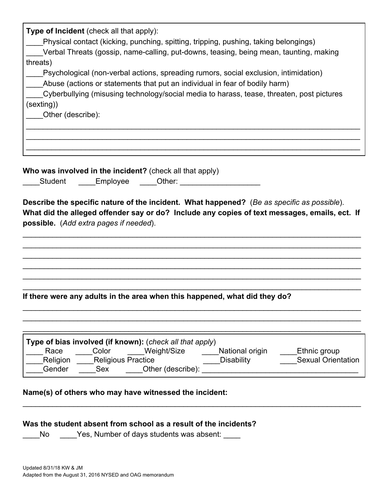| Type of Incident (check all that apply):                                                                            |
|---------------------------------------------------------------------------------------------------------------------|
| Physical contact (kicking, punching, spitting, tripping, pushing, taking belongings)                                |
| Verbal Threats (gossip, name-calling, put-downs, teasing, being mean, taunting, making                              |
| threats)                                                                                                            |
| Psychological (non-verbal actions, spreading rumors, social exclusion, intimidation)                                |
| Abuse (actions or statements that put an individual in fear of bodily harm)                                         |
| Cyberbullying (misusing technology/social media to harass, tease, threaten, post pictures                           |
| (sexting))                                                                                                          |
| Other (describe):                                                                                                   |
|                                                                                                                     |
|                                                                                                                     |
| Who was involved in the incident? (check all that apply)                                                            |
| Student Employee Other:                                                                                             |
|                                                                                                                     |
|                                                                                                                     |
| Describe the specific nature of the incident. What happened? (Be as specific as possible).                          |
| What did the alleged offender say or do? Include any copies of text messages, emails, ect. If                       |
| possible. (Add extra pages if needed).                                                                              |
|                                                                                                                     |
|                                                                                                                     |
|                                                                                                                     |
|                                                                                                                     |
|                                                                                                                     |
|                                                                                                                     |
| If there were any adults in the area when this happened, what did they do?                                          |
|                                                                                                                     |
|                                                                                                                     |
|                                                                                                                     |
|                                                                                                                     |
| Type of bias involved (if known): (check all that apply)                                                            |
| Color Weight/Size<br>Race<br>National origin<br>Ethnic group<br>Disability<br><b>Sexual Orientation</b><br>Religion |
| <b>Religious Practice</b><br>Gender                                                                                 |
|                                                                                                                     |
| Name(s) of others who may have witnessed the incident:                                                              |
|                                                                                                                     |
| Was the student absent from school as a result of the incidents?                                                    |
| No<br>Yes, Number of days students was absent:                                                                      |
|                                                                                                                     |
|                                                                                                                     |